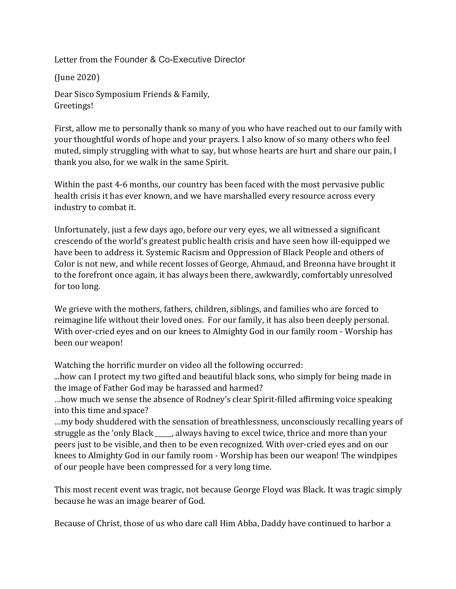Letter from the Founder & Co-Executive Director

(June 2020)

Dear Sisco Symposium Friends & Family, Greetings!

First, allow me to personally thank so many of you who have reached out to our family with your thoughtful words of hope and your prayers. I also know of so many others who feel muted, simply struggling with what to say, but whose hearts are hurt and share our pain, I thank you also, for we walk in the same Spirit.

Within the past 4-6 months, our country has been faced with the most pervasive public health crisis it has ever known, and we have marshalled every resource across every industry to combat it.

Unfortunately, just a few days ago, before our very eyes, we all witnessed a significant crescendo of the world's greatest public health crisis and have seen how ill-equipped we have been to address it. Systemic Racism and Oppression of Black People and others of Color is not new, and while recent losses of George, Ahmaud, and Breonna have brought it to the forefront once again, it has always been there, awkwardly, comfortably unresolved for too long.

We grieve with the mothers, fathers, children, siblings, and families who are forced to reimagine life without their loved ones. For our family, it has also been deeply personal. With over-cried eyes and on our knees to Almighty God in our family room - Worship has been our weapon!

Watching the horrific murder on video all the following occurred:

...how can I protect my two gifted and beautiful black sons, who simply for being made in the image of Father God may be harassed and harmed?

...how much we sense the absence of Rodney's clear Spirit-filled affirming voice speaking into this time and space?

...my body shuddered with the sensation of breathlessness, unconsciously recalling years of struggle as the 'only Black \_\_\_\_, always having to excel twice, thrice and more than your peers just to be visible, and then to be even recognized. With over-cried eyes and on our knees to Almighty God in our family room - Worship has been our weapon! The windpipes of our people have been compressed for a very long time.

This most recent event was tragic, not because George Floyd was Black. It was tragic simply because he was an image bearer of God.

Because of Christ, those of us who dare call Him Abba, Daddy have continued to harbor a